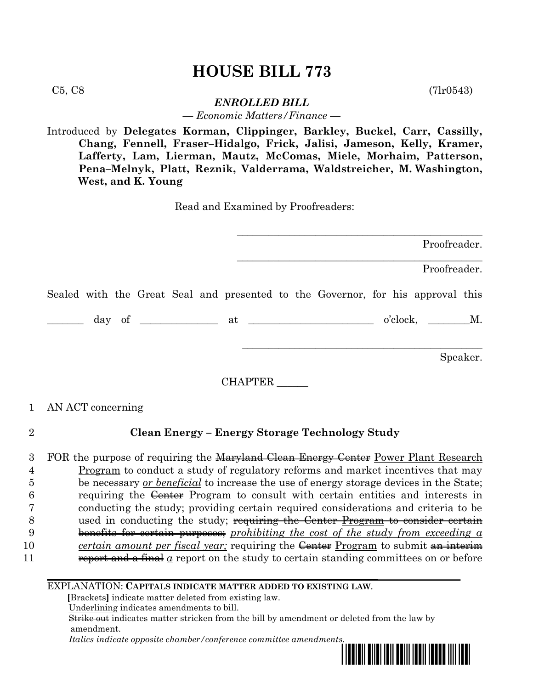# **HOUSE BILL 773**

 $C5, C8$  (7lr0543)

## *ENROLLED BILL*

*— Economic Matters/Finance —*

Introduced by **Delegates Korman, Clippinger, Barkley, Buckel, Carr, Cassilly, Chang, Fennell, Fraser–Hidalgo, Frick, Jalisi, Jameson, Kelly, Kramer, Lafferty, Lam, Lierman, Mautz, McComas, Miele, Morhaim, Patterson, Pena–Melnyk, Platt, Reznik, Valderrama, Waldstreicher, M. Washington, West, and K. Young**

Read and Examined by Proofreaders:

\_\_\_\_\_\_\_\_\_\_\_\_\_\_\_\_\_\_\_\_\_\_\_\_\_\_\_\_\_\_\_\_\_\_\_\_\_\_\_\_\_\_\_\_\_\_\_ Proofreader. \_\_\_\_\_\_\_\_\_\_\_\_\_\_\_\_\_\_\_\_\_\_\_\_\_\_\_\_\_\_\_\_\_\_\_\_\_\_\_\_\_\_\_\_\_\_\_ Proofreader. Sealed with the Great Seal and presented to the Governor, for his approval this  $\frac{1}{\text{day of}}$  of  $\frac{1}{\text{day of}}$  at  $\frac{1}{\text{day of}}$  o'clock,  $\frac{1}{\text{My}}$ . \_\_\_\_\_\_\_\_\_\_\_\_\_\_\_\_\_\_\_\_\_\_\_\_\_\_\_\_\_\_\_\_\_\_\_\_\_\_\_\_\_\_\_\_\_\_ Speaker.

CHAPTER \_\_\_\_\_\_

## 1 AN ACT concerning

## 2 **Clean Energy – Energy Storage Technology Study**

3 FOR the purpose of requiring the Maryland Clean Energy Center Power Plant Research Program to conduct a study of regulatory reforms and market incentives that may be necessary *or beneficial* to increase the use of energy storage devices in the State; 6 requiring the Center Program to consult with certain entities and interests in conducting the study; providing certain required considerations and criteria to be 8 used in conducting the study; requiring the Center Program to consider certain benefits for certain purposes; *prohibiting the cost of the study from exceeding a certain amount per fiscal year;* requiring the Center Program to submit an interimum **report and a final**  $\alpha$  report on the study to certain standing committees on or before

#### EXPLANATION: **CAPITALS INDICATE MATTER ADDED TO EXISTING LAW**.

 **[**Brackets**]** indicate matter deleted from existing law.

Underlining indicates amendments to bill.

 Strike out indicates matter stricken from the bill by amendment or deleted from the law by amendment.

 *Italics indicate opposite chamber/conference committee amendments.*

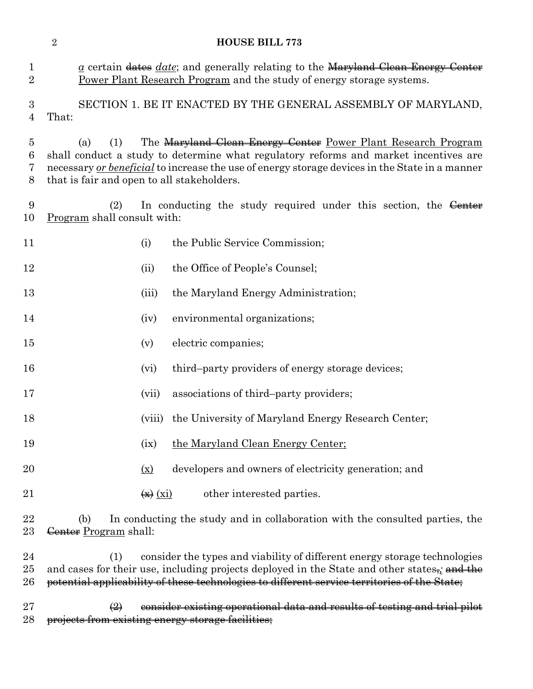|                                    | $\overline{2}$                                                                                                                                                                                                                                                                                                      |                                                       | <b>HOUSE BILL 773</b>                                                                                                                                                                  |  |
|------------------------------------|---------------------------------------------------------------------------------------------------------------------------------------------------------------------------------------------------------------------------------------------------------------------------------------------------------------------|-------------------------------------------------------|----------------------------------------------------------------------------------------------------------------------------------------------------------------------------------------|--|
| $\mathbf 1$<br>$\overline{2}$      |                                                                                                                                                                                                                                                                                                                     |                                                       | $\underline{a}$ certain dates <i>date</i> ; and generally relating to the Maryland Clean Energy Center<br><b>Power Plant Research Program</b> and the study of energy storage systems. |  |
| $\boldsymbol{3}$<br>$\overline{4}$ | That:                                                                                                                                                                                                                                                                                                               |                                                       | SECTION 1. BE IT ENACTED BY THE GENERAL ASSEMBLY OF MARYLAND,                                                                                                                          |  |
| 5<br>6<br>7<br>8                   | The Maryland Clean Energy Center Power Plant Research Program<br>(1)<br>(a)<br>shall conduct a study to determine what regulatory reforms and market incentives are<br>necessary or beneficial to increase the use of energy storage devices in the State in a manner<br>that is fair and open to all stakeholders. |                                                       |                                                                                                                                                                                        |  |
| 9<br>10                            | (2)<br>Program shall consult with:                                                                                                                                                                                                                                                                                  |                                                       | In conducting the study required under this section, the Center                                                                                                                        |  |
| 11                                 |                                                                                                                                                                                                                                                                                                                     | (i)                                                   | the Public Service Commission;                                                                                                                                                         |  |
| 12                                 |                                                                                                                                                                                                                                                                                                                     | (ii)                                                  | the Office of People's Counsel;                                                                                                                                                        |  |
| 13                                 |                                                                                                                                                                                                                                                                                                                     | (iii)                                                 | the Maryland Energy Administration;                                                                                                                                                    |  |
| 14                                 |                                                                                                                                                                                                                                                                                                                     | (iv)                                                  | environmental organizations;                                                                                                                                                           |  |
| 15                                 |                                                                                                                                                                                                                                                                                                                     | (v)                                                   | electric companies;                                                                                                                                                                    |  |
| 16                                 |                                                                                                                                                                                                                                                                                                                     | (vi)                                                  | third-party providers of energy storage devices;                                                                                                                                       |  |
| 17                                 |                                                                                                                                                                                                                                                                                                                     | (vii)                                                 | associations of third-party providers;                                                                                                                                                 |  |
| 18                                 |                                                                                                                                                                                                                                                                                                                     |                                                       | (viii) the University of Maryland Energy Research Center;                                                                                                                              |  |
| 19                                 |                                                                                                                                                                                                                                                                                                                     | (ix)                                                  | the Maryland Clean Energy Center;                                                                                                                                                      |  |
| 20                                 |                                                                                                                                                                                                                                                                                                                     | $(\underline{x})$                                     | developers and owners of electricity generation; and                                                                                                                                   |  |
| 21                                 |                                                                                                                                                                                                                                                                                                                     | $\left(\frac{1}{x}\right)$ $\left(\frac{x}{x}\right)$ | other interested parties.                                                                                                                                                              |  |
| 22<br>$23\,$                       | (b)<br>Genter Program shall:                                                                                                                                                                                                                                                                                        |                                                       | In conducting the study and in collaboration with the consulted parties, the                                                                                                           |  |

 (1) consider the types and viability of different energy storage technologies 25 and cases for their use, including projects deployed in the State and other states<sub>7</sub>; and the potential applicability of these technologies to different service territories of the State;

27  $\left(2\right)$  consider existing operational data and results of testing and trial pilot projects from existing energy storage facilities;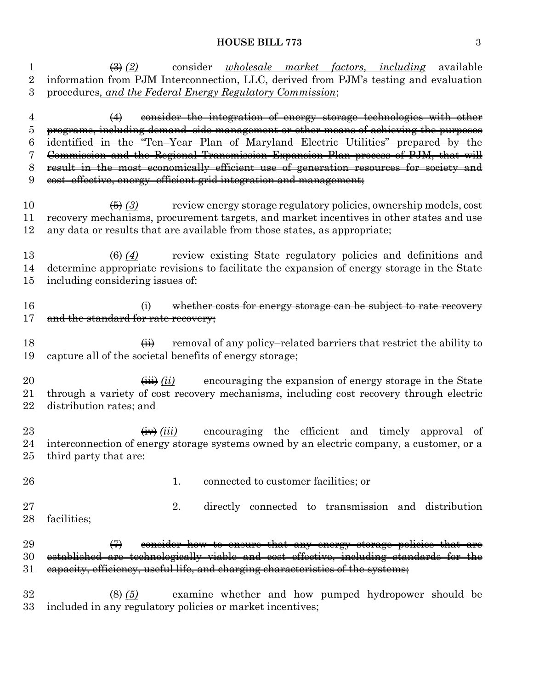#### **HOUSE BILL 773** 3

 (3) *(2)* consider *wholesale market factors, including* available information from PJM Interconnection, LLC, derived from PJM's testing and evaluation procedures*, and the Federal Energy Regulatory Commission*; (4) consider the integration of energy storage technologies with other programs, including demand–side management or other means of achieving the purposes identified in the "Ten–Year Plan of Maryland Electric Utilities" prepared by the

 Commission and the Regional Transmission Expansion Plan process of PJM, that will result in the most economically efficient use of generation resources for society and

cost–effective, energy–efficient grid integration and management;

 (5) *(3)* review energy storage regulatory policies, ownership models, cost recovery mechanisms, procurement targets, and market incentives in other states and use any data or results that are available from those states, as appropriate;

**(6)** (4) review existing State regulatory policies and definitions and determine appropriate revisions to facilitate the expansion of energy storage in the State including considering issues of:

16 (i) whether costs for energy storage can be subject to rate recovery 17 and the standard for rate recovery:

18  $\overrightarrow{ii}$  removal of any policy–related barriers that restrict the ability to capture all of the societal benefits of energy storage;

20  $\leftarrow$   $\leftarrow$   $(i)$  encouraging the expansion of energy storage in the State through a variety of cost recovery mechanisms, including cost recovery through electric distribution rates; and

23  $\leftarrow$   $\leftarrow$   $(iii)$  encouraging the efficient and timely approval of interconnection of energy storage systems owned by an electric company, a customer, or a third party that are:

26 26 1. connected to customer facilities; or

 2. directly connected to transmission and distribution facilities;

29  $\left(7\right)$  consider how to ensure that any energy storage policies that are established are technologically viable and cost–effective, including standards for the 31 eapacity, efficiency, useful life, and charging characteristics of the systems;

 (8) *(5)* examine whether and how pumped hydropower should be included in any regulatory policies or market incentives;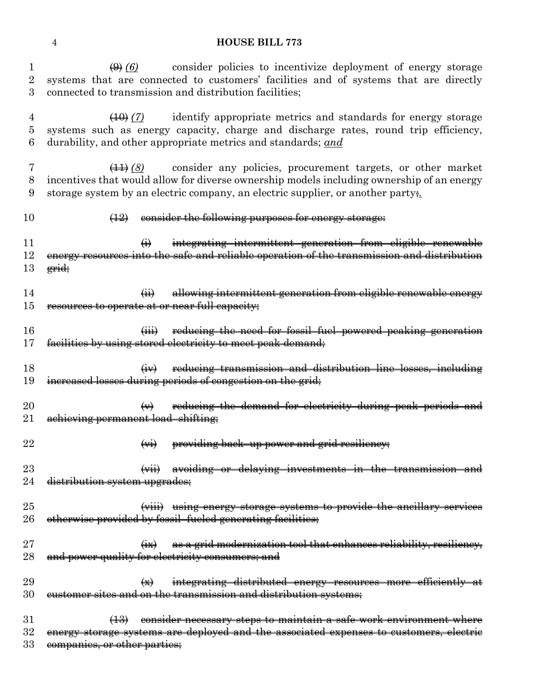### **HOUSE BILL 773**

1 (9) <sup>(6)</sup> consider policies to incentivize deployment of energy storage systems that are connected to customers' facilities and of systems that are directly connected to transmission and distribution facilities;

 (10) *(7)* identify appropriate metrics and standards for energy storage systems such as energy capacity, charge and discharge rates, round trip efficiency, durability, and other appropriate metrics and standards; *and*

 (11) *(8)* consider any policies, procurement targets, or other market incentives that would allow for diverse ownership models including ownership of an energy storage system by an electric company, an electric supplier, or another party;*.*

## (12) consider the following purposes for energy storage:

 (i) integrating intermittent generation from eligible renewable energy resources into the safe and reliable operation of the transmission and distribution grid;

 (ii) allowing intermittent generation from eligible renewable energy resources to operate at or near full capacity;

16 (iii) reducing the need for fossil–fuel–powered peaking generation facilities by using stored electricity to meet peak demand;

18 (iv) reducing transmission and distribution line losses, including increased losses during periods of congestion on the grid;

 $(4)$  reducing the demand for electricity during peak periods and 21 achieving permanent load–shifting;

- **(vi)** providing back–up power and grid resiliency;
- 23 (vii) avoiding or delaying investments in the transmission and 24 distribution system upgrades;
- (viii) using energy storage systems to provide the ancillary services 26 otherwise provided by fossil–fueled generating facilities;
- 27 (ix) as a grid modernization tool that enhances reliability, resiliency, 28 and power quality for electricity consumers; and

**(x)** integrating distributed energy resources more efficiently at eustomer sites and on the transmission and distribution systems;

31 (13) consider necessary steps to maintain a safe work environment where energy storage systems are deployed and the associated expenses to customers, electric 33 companies, or other parties;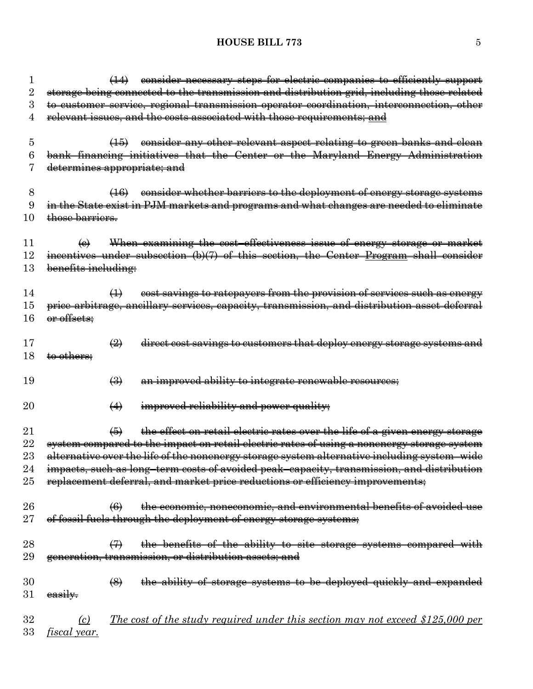## **HOUSE BILL 773** 5

| $\mathbf{I}$ | consider necessary steps for electric companies to efficiently support<br>$\left( \frac{1}{2} \right)$     |
|--------------|------------------------------------------------------------------------------------------------------------|
| 2            | storage being connected to the transmission and distribution grid, including those related                 |
| 3            | to customer service, regional transmission operator coordination, interconnection, other                   |
| 4            | relevant issues, and the costs associated with those requirements; and                                     |
| 5            | consider any other relevant aspect relating to green banks and clean<br>$\left( 15 \right)$                |
| 6            | bank financing initiatives that the Center or the Maryland Energy Administration                           |
|              | determines appropriate; and                                                                                |
| 8            | consider whether barriers to the deployment of energy storage systems<br>(16)                              |
| 9            | in the State exist in PJM markets and programs and what changes are needed to eliminate                    |
| 10           | those barriers.                                                                                            |
| 11           | When examining the cost-effectiveness issue of energy storage or market<br>$\Theta$                        |
| 12           | incentives under subsection (b)(7) of this section, the Center Program shall consider                      |
| 13           | benefits including:                                                                                        |
| 14           | cost savings to ratepayers from the provision of services such as energy<br>$\leftrightarrow$              |
| 15           | price arbitrage, ancillary services, capacity, transmission, and distribution asset deferral               |
| 16           | or offsets;                                                                                                |
| 17           | direct cost savings to customers that deploy energy storage systems and<br>$\left(\frac{1}{2}\right)$      |
| 18           | to others;                                                                                                 |
| 19           | an improved ability to integrate renewable resources;<br>$\left(\frac{1}{2}\right)$                        |
| $20\,$       | improved reliability and power quality;<br>$\leftrightarrow$                                               |
|              |                                                                                                            |
| $21\,$       | the effect on retail electric rates over the life of a given energy storage<br>$\left( 5\right)$           |
| 22           | system compared to the impact on retail electric rates of using a nonenergy storage system                 |
| $23\,$       | alternative over the life of the nonenergy storage system alternative including system-wide                |
| 24           | impacts, such as long-term costs of avoided peak-capacity, transmission, and distribution                  |
| 25           | replacement deferral, and market price reductions or efficiency improvements;                              |
| 26           | the economic, noneconomic, and environmental benefits of avoided use<br>$\left( 6 \right)$                 |
| $27\,$       | of fossil fuels through the deployment of energy storage systems;                                          |
| 28           | the benefits of the ability to site storage systems compared with<br>$\leftrightarrow$                     |
| 29           | generation, transmission, or distribution assets; and                                                      |
| 30           | $\left(\frac{8}{2}\right)$                                                                                 |
| $31\,$       | the ability of storage systems to be deployed quickly and expanded<br>easily.                              |
| $32\,$       | <u>The cost of the study required under this section may not exceed \$125,000 per</u><br>$\left( c\right)$ |